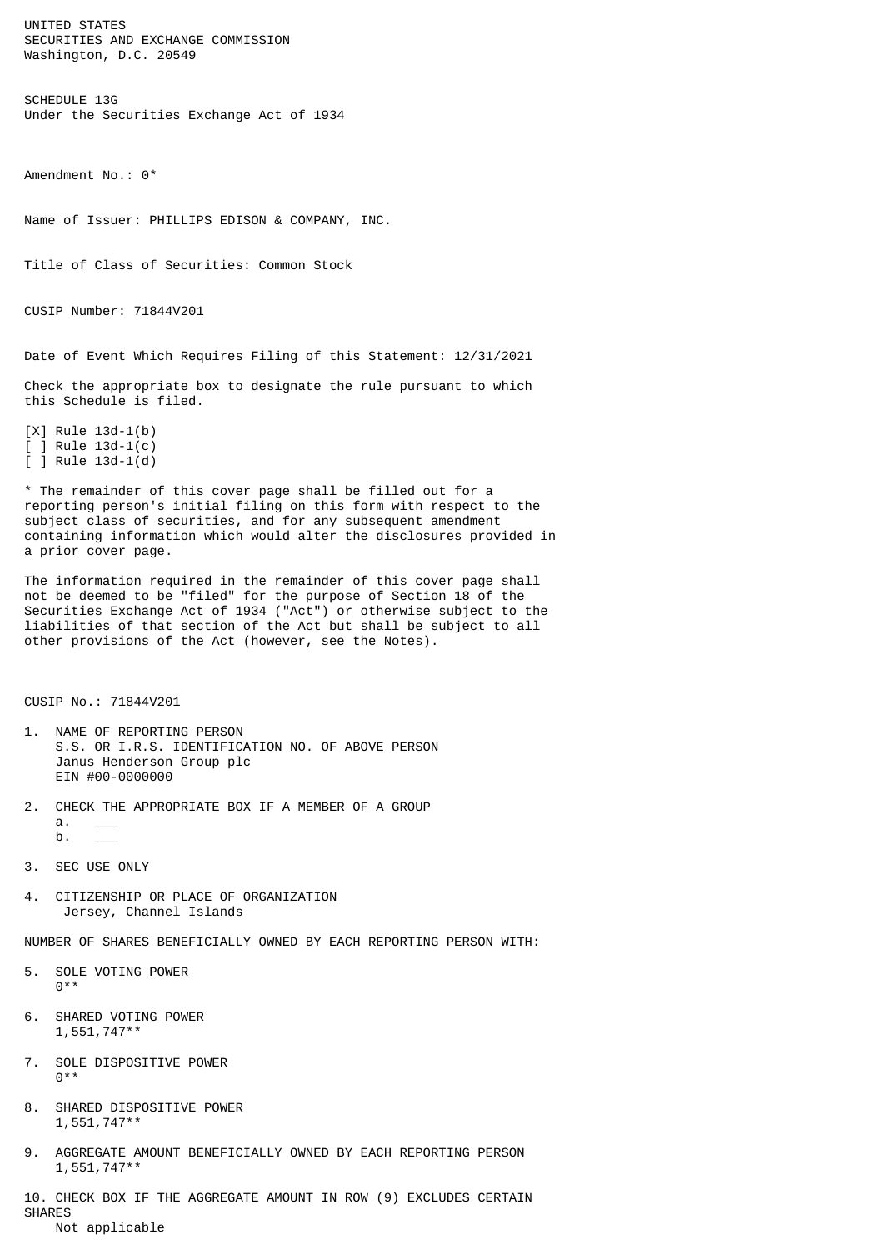UNITED STATES SECURITIES AND EXCHANGE COMMISSION Washington, D.C. 20549

SCHEDULE 13G Under the Securities Exchange Act of 1934

Amendment No.: 0\*

Name of Issuer: PHILLIPS EDISON & COMPANY, INC.

Title of Class of Securities: Common Stock

CUSIP Number: 71844V201

Date of Event Which Requires Filing of this Statement: 12/31/2021

Check the appropriate box to designate the rule pursuant to which this Schedule is filed.

[X] Rule 13d-1(b) [ ] Rule 13d-1(c)  $\overline{1}$  Rule 13d-1(d)

\* The remainder of this cover page shall be filled out for a reporting person's initial filing on this form with respect to the subject class of securities, and for any subsequent amendment containing information which would alter the disclosures provided in a prior cover page.

The information required in the remainder of this cover page shall not be deemed to be "filed" for the purpose of Section 18 of the Securities Exchange Act of 1934 ("Act") or otherwise subject to the liabilities of that section of the Act but shall be subject to all other provisions of the Act (however, see the Notes).

CUSIP No.: 71844V201

- 1. NAME OF REPORTING PERSON S.S. OR I.R.S. IDENTIFICATION NO. OF ABOVE PERSON Janus Henderson Group plc EIN #00-0000000
- 2. CHECK THE APPROPRIATE BOX IF A MEMBER OF A GROUP  $a<sub>r</sub>$  $b$ .
- 3. SEC USE ONLY
- 4. CITIZENSHIP OR PLACE OF ORGANIZATION Jersey, Channel Islands

NUMBER OF SHARES BENEFICIALLY OWNED BY EACH REPORTING PERSON WITH:

- 5. SOLE VOTING POWER 0\*\*
- 6. SHARED VOTING POWER 1,551,747\*\*
- 7. SOLE DISPOSITIVE POWER 0\*\*
- 8. SHARED DISPOSITIVE POWER 1,551,747\*\*
- 9. AGGREGATE AMOUNT BENEFICIALLY OWNED BY EACH REPORTING PERSON 1,551,747\*\*

10. CHECK BOX IF THE AGGREGATE AMOUNT IN ROW (9) EXCLUDES CERTAIN SHARES Not applicable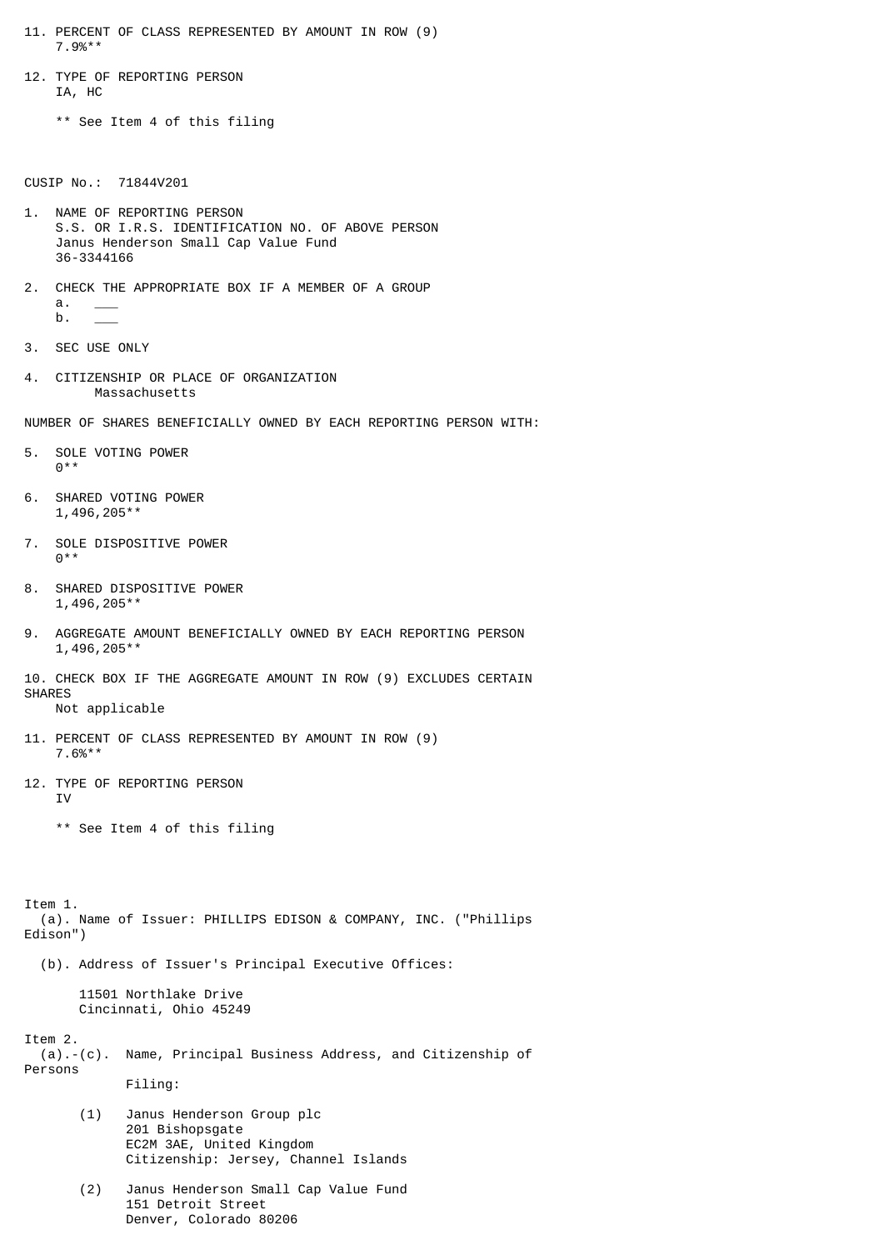- 11. PERCENT OF CLASS REPRESENTED BY AMOUNT IN ROW (9) 7.9%\*\*
- 12. TYPE OF REPORTING PERSON IA, HC

\*\* See Item 4 of this filing

CUSIP No.: 71844V201

- 1. NAME OF REPORTING PERSON S.S. OR I.R.S. IDENTIFICATION NO. OF ABOVE PERSON Janus Henderson Small Cap Value Fund 36-3344166
- 2. CHECK THE APPROPRIATE BOX IF A MEMBER OF A GROUP  $a$ .  $b$ .
- 3. SEC USE ONLY
- 4. CITIZENSHIP OR PLACE OF ORGANIZATION Massachusetts

NUMBER OF SHARES BENEFICIALLY OWNED BY EACH REPORTING PERSON WITH:

- 5. SOLE VOTING POWER 0\*\*
- 6. SHARED VOTING POWER 1,496,205\*\*
- 7. SOLE DISPOSITIVE POWER  $0***$
- 8. SHARED DISPOSITIVE POWER 1,496,205\*\*
- 9. AGGREGATE AMOUNT BENEFICIALLY OWNED BY EACH REPORTING PERSON 1,496,205\*\*

10. CHECK BOX IF THE AGGREGATE AMOUNT IN ROW (9) EXCLUDES CERTAIN SHARES Not applicable

- 
- 11. PERCENT OF CLASS REPRESENTED BY AMOUNT IN ROW (9) 7.6%\*\*
- 12. TYPE OF REPORTING PERSON IV

\*\* See Item 4 of this filing

Item 1. (a). Name of Issuer: PHILLIPS EDISON & COMPANY, INC. ("Phillips Edison")

(b). Address of Issuer's Principal Executive Offices:

 11501 Northlake Drive Cincinnati, Ohio 45249

Item 2.

- (a).-(c). Name, Principal Business Address, and Citizenship of Persons Filing:
	- (1) Janus Henderson Group plc 201 Bishopsgate EC2M 3AE, United Kingdom Citizenship: Jersey, Channel Islands
	- (2) Janus Henderson Small Cap Value Fund 151 Detroit Street Denver, Colorado 80206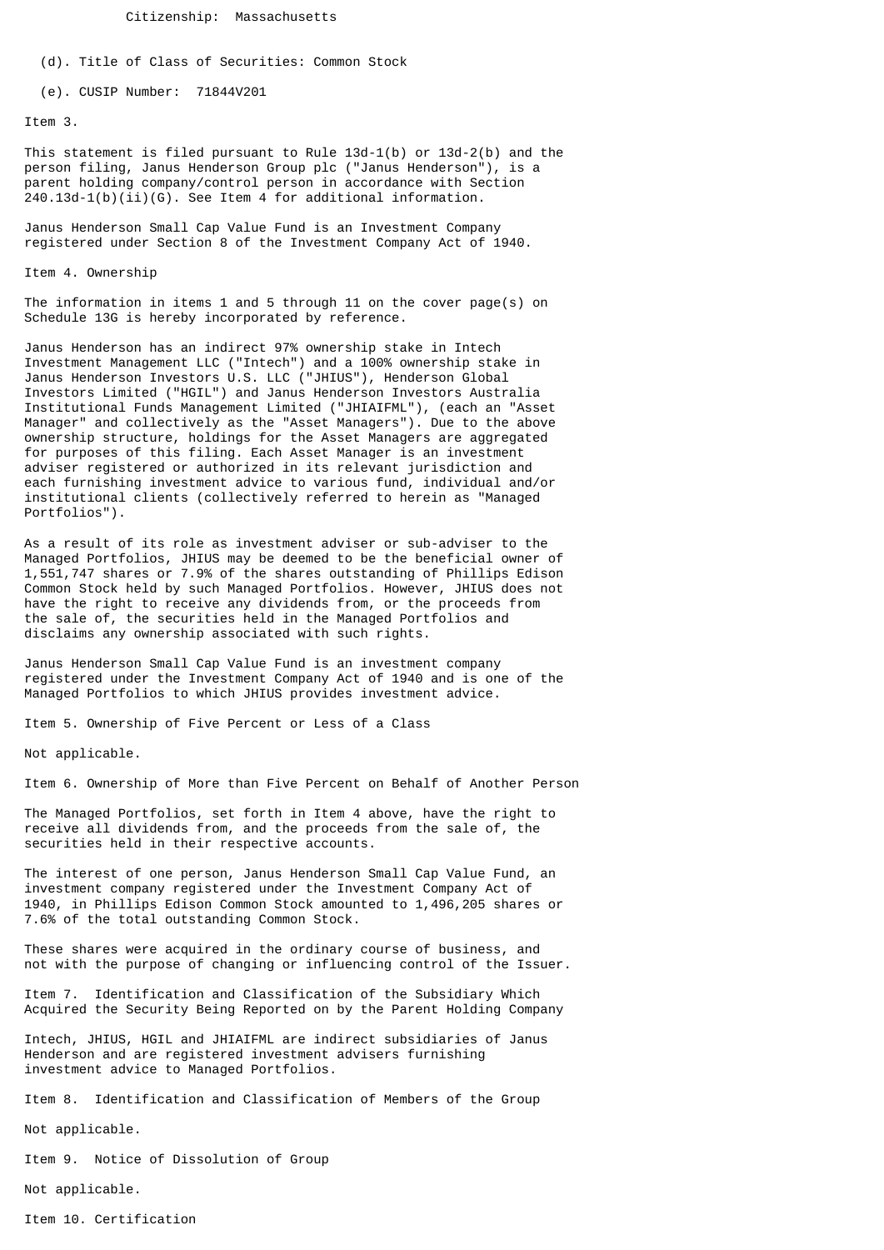Citizenship: Massachusetts

(d). Title of Class of Securities: Common Stock

(e). CUSIP Number: 71844V201

Item 3.

This statement is filed pursuant to Rule 13d-1(b) or 13d-2(b) and the person filing, Janus Henderson Group plc ("Janus Henderson"), is a parent holding company/control person in accordance with Section  $240.13d-1(b)(ii)(G)$ . See Item 4 for additional information.

Janus Henderson Small Cap Value Fund is an Investment Company registered under Section 8 of the Investment Company Act of 1940.

Item 4. Ownership

The information in items 1 and 5 through 11 on the cover page(s) on Schedule 13G is hereby incorporated by reference.

Janus Henderson has an indirect 97% ownership stake in Intech Investment Management LLC ("Intech") and a 100% ownership stake in Janus Henderson Investors U.S. LLC ("JHIUS"), Henderson Global Investors Limited ("HGIL") and Janus Henderson Investors Australia Institutional Funds Management Limited ("JHIAIFML"), (each an "Asset Manager" and collectively as the "Asset Managers"). Due to the above ownership structure, holdings for the Asset Managers are aggregated for purposes of this filing. Each Asset Manager is an investment adviser registered or authorized in its relevant jurisdiction and each furnishing investment advice to various fund, individual and/or institutional clients (collectively referred to herein as "Managed Portfolios").

As a result of its role as investment adviser or sub-adviser to the Managed Portfolios, JHIUS may be deemed to be the beneficial owner of 1,551,747 shares or 7.9% of the shares outstanding of Phillips Edison Common Stock held by such Managed Portfolios. However, JHIUS does not have the right to receive any dividends from, or the proceeds from the sale of, the securities held in the Managed Portfolios and disclaims any ownership associated with such rights.

Janus Henderson Small Cap Value Fund is an investment company registered under the Investment Company Act of 1940 and is one of the Managed Portfolios to which JHIUS provides investment advice.

Item 5. Ownership of Five Percent or Less of a Class

Not applicable.

Item 6. Ownership of More than Five Percent on Behalf of Another Person

The Managed Portfolios, set forth in Item 4 above, have the right to receive all dividends from, and the proceeds from the sale of, the securities held in their respective accounts.

The interest of one person, Janus Henderson Small Cap Value Fund, an investment company registered under the Investment Company Act of 1940, in Phillips Edison Common Stock amounted to 1,496,205 shares or 7.6% of the total outstanding Common Stock.

These shares were acquired in the ordinary course of business, and not with the purpose of changing or influencing control of the Issuer.

Item 7. Identification and Classification of the Subsidiary Which Acquired the Security Being Reported on by the Parent Holding Company

Intech, JHIUS, HGIL and JHIAIFML are indirect subsidiaries of Janus Henderson and are registered investment advisers furnishing investment advice to Managed Portfolios.

Item 8. Identification and Classification of Members of the Group

Not applicable.

Item 9. Notice of Dissolution of Group

Not applicable.

Item 10. Certification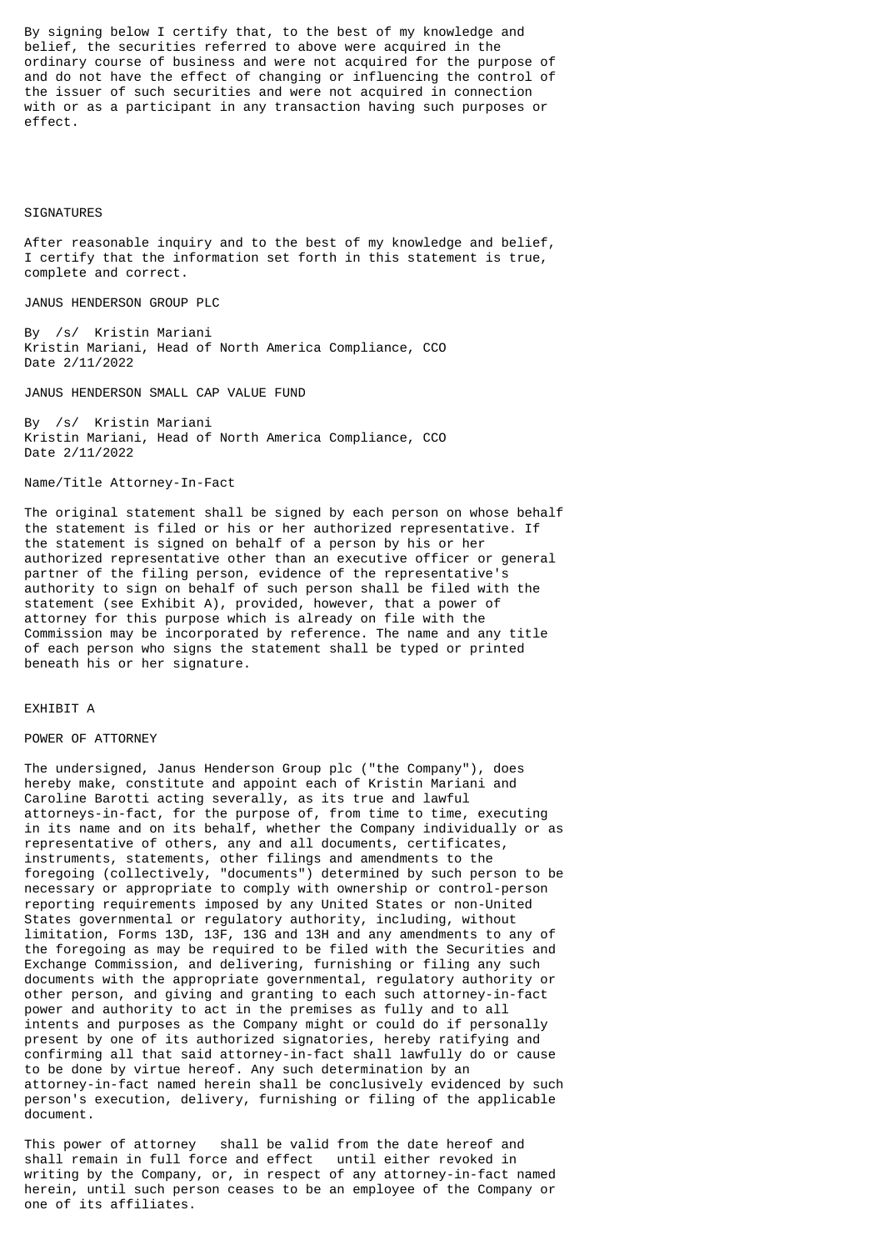By signing below I certify that, to the best of my knowledge and belief, the securities referred to above were acquired in the ordinary course of business and were not acquired for the purpose of and do not have the effect of changing or influencing the control of the issuer of such securities and were not acquired in connection with or as a participant in any transaction having such purposes or effect.

## SIGNATURES

After reasonable inquiry and to the best of my knowledge and belief, I certify that the information set forth in this statement is true, complete and correct.

JANUS HENDERSON GROUP PLC

By /s/ Kristin Mariani Kristin Mariani, Head of North America Compliance, CCO Date 2/11/2022

JANUS HENDERSON SMALL CAP VALUE FUND

By /s/ Kristin Mariani Kristin Mariani, Head of North America Compliance, CCO Date 2/11/2022

Name/Title Attorney-In-Fact

The original statement shall be signed by each person on whose behalf the statement is filed or his or her authorized representative. If the statement is signed on behalf of a person by his or her authorized representative other than an executive officer or general partner of the filing person, evidence of the representative's authority to sign on behalf of such person shall be filed with the statement (see Exhibit A), provided, however, that a power of attorney for this purpose which is already on file with the Commission may be incorporated by reference. The name and any title of each person who signs the statement shall be typed or printed beneath his or her signature.

## EXHIBIT A

## POWER OF ATTORNEY

The undersigned, Janus Henderson Group plc ("the Company"), does hereby make, constitute and appoint each of Kristin Mariani and Caroline Barotti acting severally, as its true and lawful attorneys-in-fact, for the purpose of, from time to time, executing in its name and on its behalf, whether the Company individually or as representative of others, any and all documents, certificates, instruments, statements, other filings and amendments to the foregoing (collectively, "documents") determined by such person to be necessary or appropriate to comply with ownership or control-person reporting requirements imposed by any United States or non-United States governmental or regulatory authority, including, without limitation, Forms 13D, 13F, 13G and 13H and any amendments to any of the foregoing as may be required to be filed with the Securities and Exchange Commission, and delivering, furnishing or filing any such documents with the appropriate governmental, regulatory authority or other person, and giving and granting to each such attorney-in-fact power and authority to act in the premises as fully and to all intents and purposes as the Company might or could do if personally present by one of its authorized signatories, hereby ratifying and confirming all that said attorney-in-fact shall lawfully do or cause to be done by virtue hereof. Any such determination by an attorney-in-fact named herein shall be conclusively evidenced by such person's execution, delivery, furnishing or filing of the applicable document.

This power of attorney shall be valid from the date hereof and shall remain in full force and effect until either revoked in writing by the Company, or, in respect of any attorney-in-fact named herein, until such person ceases to be an employee of the Company or one of its affiliates.